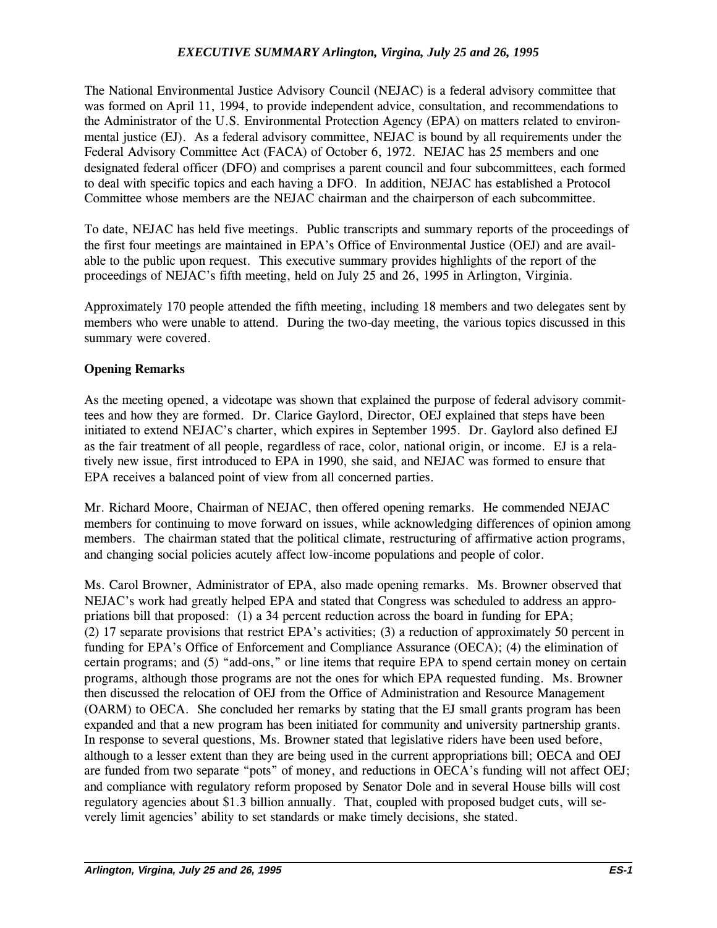#### *EXECUTIVE SUMMARY Arlington, Virgina, July 25 and 26, 1995*

The National Environmental Justice Advisory Council (NEJAC) is a federal advisory committee that was formed on April 11, 1994, to provide independent advice, consultation, and recommendations to the Administrator of the U.S. Environmental Protection Agency (EPA) on matters related to environmental justice (EJ). As a federal advisory committee, NEJAC is bound by all requirements under the Federal Advisory Committee Act (FACA) of October 6, 1972. NEJAC has 25 members and one designated federal officer (DFO) and comprises a parent council and four subcommittees, each formed to deal with specific topics and each having a DFO. In addition, NEJAC has established a Protocol Committee whose members are the NEJAC chairman and the chairperson of each subcommittee.

To date, NEJAC has held five meetings. Public transcripts and summary reports of the proceedings of the first four meetings are maintained in EPA's Office of Environmental Justice (OEJ) and are available to the public upon request. This executive summary provides highlights of the report of the proceedings of NEJAC's fifth meeting, held on July 25 and 26, 1995 in Arlington, Virginia.

Approximately 170 people attended the fifth meeting, including 18 members and two delegates sent by members who were unable to attend. During the two-day meeting, the various topics discussed in this summary were covered.

#### Opening Remarks

As the meeting opened, a videotape was shown that explained the purpose of federal advisory committees and how they are formed. Dr. Clarice Gaylord, Director, OEJ explained that steps have been initiated to extend NEJAC's charter, which expires in September 1995. Dr. Gaylord also defined EJ as the fair treatment of all people, regardless of race, color, national origin, or income. EJ is a relatively new issue, first introduced to EPA in 1990, she said, and NEJAC was formed to ensure that EPA receives a balanced point of view from all concerned parties.

Mr. Richard Moore, Chairman of NEJAC, then offered opening remarks. He commended NEJAC members for continuing to move forward on issues, while acknowledging differences of opinion among members. The chairman stated that the political climate, restructuring of affirmative action programs, and changing social policies acutely affect low-income populations and people of color.

Ms. Carol Browner, Administrator of EPA, also made opening remarks. Ms. Browner observed that NEJAC's work had greatly helped EPA and stated that Congress was scheduled to address an appropriations bill that proposed: (1) a 34 percent reduction across the board in funding for EPA; (2) 17 separate provisions that restrict EPA's activities; (3) a reduction of approximately 50 percent in funding for EPA's Office of Enforcement and Compliance Assurance (OECA); (4) the elimination of certain programs; and  $(5)$  "add-ons," or line items that require EPA to spend certain money on certain programs, although those programs are not the ones for which EPA requested funding. Ms. Browner then discussed the relocation of OEJ from the Office of Administration and Resource Management (OARM) to OECA. She concluded her remarks by stating that the EJ small grants program has been expanded and that a new program has been initiated for community and university partnership grants. In response to several questions, Ms. Browner stated that legislative riders have been used before, although to a lesser extent than they are being used in the current appropriations bill; OECA and OEJ are funded from two separate "pots" of money, and reductions in OECA's funding will not affect OEJ; and compliance with regulatory reform proposed by Senator Dole and in several House bills will cost regulatory agencies about \$1.3 billion annually. That, coupled with proposed budget cuts, will severely limit agencies' ability to set standards or make timely decisions, she stated.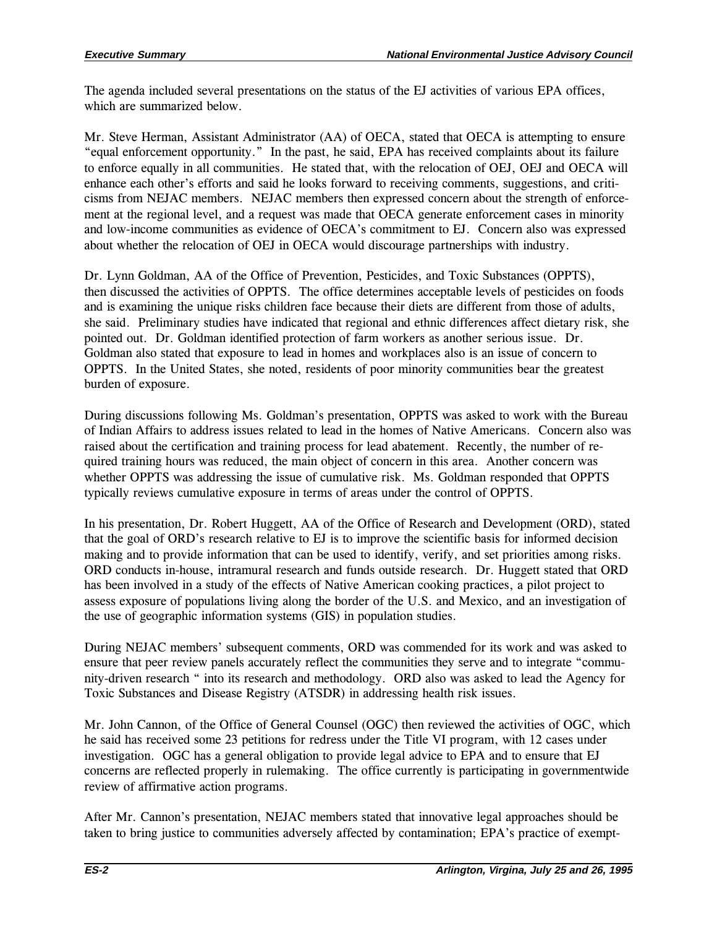The agenda included several presentations on the status of the EJ activities of various EPA offices, which are summarized below.

Mr. Steve Herman, Assistant Administrator (AA) of OECA, stated that OECA is attempting to ensure equal enforcement opportunity. In the past, he said, EPA has received complaints about its failure to enforce equally in all communities. He stated that, with the relocation of OEJ, OEJ and OECA will enhance each other's efforts and said he looks forward to receiving comments, suggestions, and criticisms from NEJAC members. NEJAC members then expressed concern about the strength of enforcement at the regional level, and a request was made that OECA generate enforcement cases in minority and low-income communities as evidence of OECA's commitment to EJ. Concern also was expressed about whether the relocation of OEJ in OECA would discourage partnerships with industry.

Dr. Lynn Goldman, AA of the Office of Prevention, Pesticides, and Toxic Substances (OPPTS), then discussed the activities of OPPTS. The office determines acceptable levels of pesticides on foods and is examining the unique risks children face because their diets are different from those of adults, she said. Preliminary studies have indicated that regional and ethnic differences affect dietary risk, she pointed out. Dr. Goldman identified protection of farm workers as another serious issue. Dr. Goldman also stated that exposure to lead in homes and workplaces also is an issue of concern to OPPTS. In the United States, she noted, residents of poor minority communities bear the greatest burden of exposure.

During discussions following Ms. Goldman's presentation, OPPTS was asked to work with the Bureau of Indian Affairs to address issues related to lead in the homes of Native Americans. Concern also was raised about the certification and training process for lead abatement. Recently, the number of required training hours was reduced, the main object of concern in this area. Another concern was whether OPPTS was addressing the issue of cumulative risk. Ms. Goldman responded that OPPTS typically reviews cumulative exposure in terms of areas under the control of OPPTS.

In his presentation, Dr. Robert Huggett, AA of the Office of Research and Development (ORD), stated that the goal of ORD's research relative to EJ is to improve the scientific basis for informed decision making and to provide information that can be used to identify, verify, and set priorities among risks. ORD conducts in-house, intramural research and funds outside research. Dr. Huggett stated that ORD has been involved in a study of the effects of Native American cooking practices, a pilot project to assess exposure of populations living along the border of the U.S. and Mexico, and an investigation of the use of geographic information systems (GIS) in population studies.

During NEJAC members' subsequent comments, ORD was commended for its work and was asked to ensure that peer review panels accurately reflect the communities they serve and to integrate "community-driven research " into its research and methodology. ORD also was asked to lead the Agency for Toxic Substances and Disease Registry (ATSDR) in addressing health risk issues.

Mr. John Cannon, of the Office of General Counsel (OGC) then reviewed the activities of OGC, which he said has received some 23 petitions for redress under the Title VI program, with 12 cases under investigation. OGC has a general obligation to provide legal advice to EPA and to ensure that EJ concerns are reflected properly in rulemaking. The office currently is participating in governmentwide review of affirmative action programs.

After Mr. Cannon's presentation, NEJAC members stated that innovative legal approaches should be taken to bring justice to communities adversely affected by contamination; EPA's practice of exempt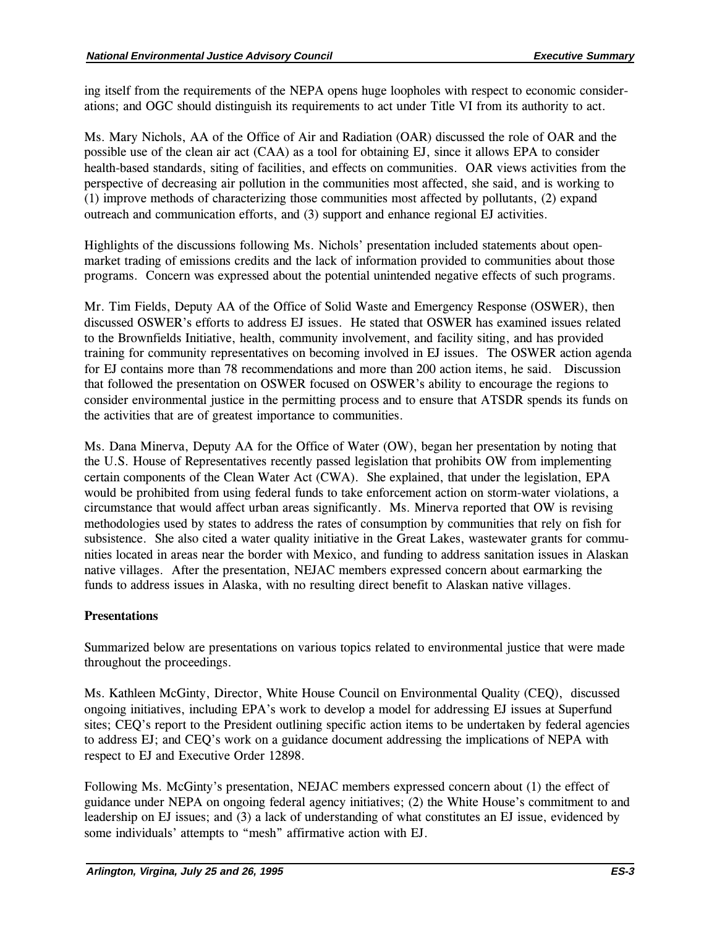ing itself from the requirements of the NEPA opens huge loopholes with respect to economic considerations; and OGC should distinguish its requirements to act under Title VI from its authority to act.

Ms. Mary Nichols, AA of the Office of Air and Radiation (OAR) discussed the role of OAR and the possible use of the clean air act (CAA) as a tool for obtaining EJ, since it allows EPA to consider health-based standards, siting of facilities, and effects on communities. OAR views activities from the perspective of decreasing air pollution in the communities most affected, she said, and is working to (1) improve methods of characterizing those communities most affected by pollutants, (2) expand outreach and communication efforts, and (3) support and enhance regional EJ activities.

Highlights of the discussions following Ms. Nichols' presentation included statements about openmarket trading of emissions credits and the lack of information provided to communities about those programs. Concern was expressed about the potential unintended negative effects of such programs.

Mr. Tim Fields, Deputy AA of the Office of Solid Waste and Emergency Response (OSWER), then discussed OSWER's efforts to address EJ issues. He stated that OSWER has examined issues related to the Brownfields Initiative, health, community involvement, and facility siting, and has provided training for community representatives on becoming involved in EJ issues. The OSWER action agenda for EJ contains more than 78 recommendations and more than 200 action items, he said. Discussion that followed the presentation on OSWER focused on OSWER's ability to encourage the regions to consider environmental justice in the permitting process and to ensure that ATSDR spends its funds on the activities that are of greatest importance to communities.

Ms. Dana Minerva, Deputy AA for the Office of Water (OW), began her presentation by noting that the U.S. House of Representatives recently passed legislation that prohibits OW from implementing certain components of the Clean Water Act (CWA). She explained, that under the legislation, EPA would be prohibited from using federal funds to take enforcement action on storm-water violations, a circumstance that would affect urban areas significantly. Ms. Minerva reported that OW is revising methodologies used by states to address the rates of consumption by communities that rely on fish for subsistence. She also cited a water quality initiative in the Great Lakes, wastewater grants for communities located in areas near the border with Mexico, and funding to address sanitation issues in Alaskan native villages. After the presentation, NEJAC members expressed concern about earmarking the funds to address issues in Alaska, with no resulting direct benefit to Alaskan native villages.

# **Presentations**

Summarized below are presentations on various topics related to environmental justice that were made throughout the proceedings.

Ms. Kathleen McGinty, Director, White House Council on Environmental Quality (CEQ), discussed ongoing initiatives, including EPA's work to develop a model for addressing EJ issues at Superfund sites; CEQ's report to the President outlining specific action items to be undertaken by federal agencies to address EJ; and CEQ's work on a guidance document addressing the implications of NEPA with respect to EJ and Executive Order 12898.

Following Ms. McGinty's presentation, NEJAC members expressed concern about (1) the effect of guidance under NEPA on ongoing federal agency initiatives; (2) the White House's commitment to and leadership on EJ issues; and (3) a lack of understanding of what constitutes an EJ issue, evidenced by some individuals' attempts to "mesh" affirmative action with EJ.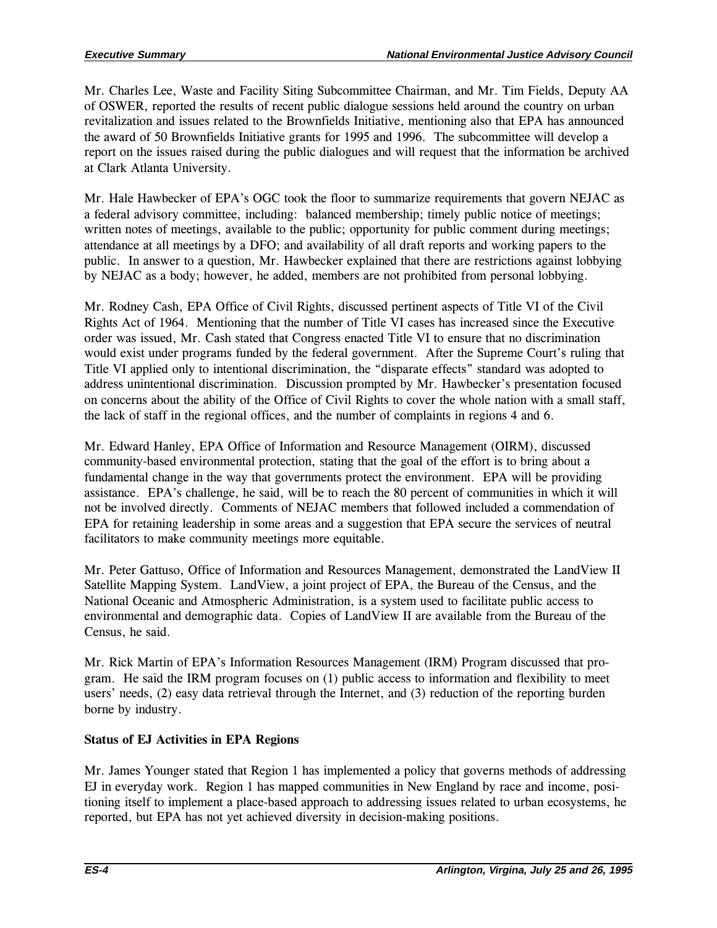Mr. Charles Lee, Waste and Facility Siting Subcommittee Chairman, and Mr. Tim Fields, Deputy AA of OSWER, reported the results of recent public dialogue sessions held around the country on urban revitalization and issues related to the Brownfields Initiative, mentioning also that EPA has announced the award of 50 Brownfields Initiative grants for 1995 and 1996. The subcommittee will develop a report on the issues raised during the public dialogues and will request that the information be archived at Clark Atlanta University.

Mr. Hale Hawbecker of EPA's OGC took the floor to summarize requirements that govern NEJAC as a federal advisory committee, including: balanced membership; timely public notice of meetings; written notes of meetings, available to the public; opportunity for public comment during meetings; attendance at all meetings by a DFO; and availability of all draft reports and working papers to the public. In answer to a question, Mr. Hawbecker explained that there are restrictions against lobbying by NEJAC as a body; however, he added, members are not prohibited from personal lobbying.

Mr. Rodney Cash, EPA Office of Civil Rights, discussed pertinent aspects of Title VI of the Civil Rights Act of 1964. Mentioning that the number of Title VI cases has increased since the Executive order was issued, Mr. Cash stated that Congress enacted Title VI to ensure that no discrimination would exist under programs funded by the federal government. After the Supreme Court's ruling that Title VI applied only to intentional discrimination, the "disparate effects" standard was adopted to address unintentional discrimination. Discussion prompted by Mr. Hawbecker's presentation focused on concerns about the ability of the Office of Civil Rights to cover the whole nation with a small staff, the lack of staff in the regional offices, and the number of complaints in regions 4 and 6.

Mr. Edward Hanley, EPA Office of Information and Resource Management (OIRM), discussed community-based environmental protection, stating that the goal of the effort is to bring about a fundamental change in the way that governments protect the environment. EPA will be providing assistance. EPA's challenge, he said, will be to reach the 80 percent of communities in which it will not be involved directly. Comments of NEJAC members that followed included a commendation of EPA for retaining leadership in some areas and a suggestion that EPA secure the services of neutral facilitators to make community meetings more equitable.

Mr. Peter Gattuso, Office of Information and Resources Management, demonstrated the LandView II Satellite Mapping System. LandView, a joint project of EPA, the Bureau of the Census, and the National Oceanic and Atmospheric Administration, is a system used to facilitate public access to environmental and demographic data. Copies of LandView II are available from the Bureau of the Census, he said.

Mr. Rick Martin of EPA's Information Resources Management (IRM) Program discussed that program. He said the IRM program focuses on (1) public access to information and flexibility to meet users' needs, (2) easy data retrieval through the Internet, and (3) reduction of the reporting burden borne by industry.

# Status of EJ Activities in EPA Regions

Mr. James Younger stated that Region 1 has implemented a policy that governs methods of addressing EJ in everyday work. Region 1 has mapped communities in New England by race and income, positioning itself to implement a place-based approach to addressing issues related to urban ecosystems, he reported, but EPA has not yet achieved diversity in decision-making positions.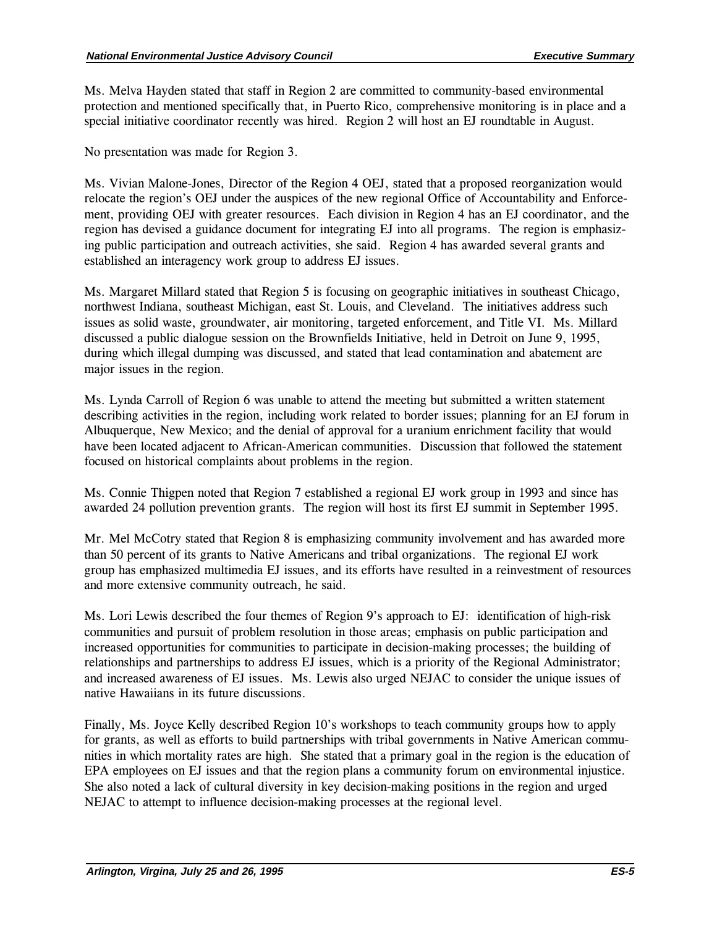Ms. Melva Hayden stated that staff in Region 2 are committed to community-based environmental protection and mentioned specifically that, in Puerto Rico, comprehensive monitoring is in place and a special initiative coordinator recently was hired. Region 2 will host an EJ roundtable in August.

No presentation was made for Region 3.

Ms. Vivian Malone-Jones, Director of the Region 4 OEJ, stated that a proposed reorganization would relocate the region's OEJ under the auspices of the new regional Office of Accountability and Enforcement, providing OEJ with greater resources. Each division in Region 4 has an EJ coordinator, and the region has devised a guidance document for integrating EJ into all programs. The region is emphasizing public participation and outreach activities, she said. Region 4 has awarded several grants and established an interagency work group to address EJ issues.

Ms. Margaret Millard stated that Region 5 is focusing on geographic initiatives in southeast Chicago, northwest Indiana, southeast Michigan, east St. Louis, and Cleveland. The initiatives address such issues as solid waste, groundwater, air monitoring, targeted enforcement, and Title VI. Ms. Millard discussed a public dialogue session on the Brownfields Initiative, held in Detroit on June 9, 1995, during which illegal dumping was discussed, and stated that lead contamination and abatement are major issues in the region.

Ms. Lynda Carroll of Region 6 was unable to attend the meeting but submitted a written statement describing activities in the region, including work related to border issues; planning for an EJ forum in Albuquerque, New Mexico; and the denial of approval for a uranium enrichment facility that would have been located adjacent to African-American communities. Discussion that followed the statement focused on historical complaints about problems in the region.

Ms. Connie Thigpen noted that Region 7 established a regional EJ work group in 1993 and since has awarded 24 pollution prevention grants. The region will host its first EJ summit in September 1995.

Mr. Mel McCotry stated that Region 8 is emphasizing community involvement and has awarded more than 50 percent of its grants to Native Americans and tribal organizations. The regional EJ work group has emphasized multimedia EJ issues, and its efforts have resulted in a reinvestment of resources and more extensive community outreach, he said.

Ms. Lori Lewis described the four themes of Region 9's approach to EJ: identification of high-risk communities and pursuit of problem resolution in those areas; emphasis on public participation and increased opportunities for communities to participate in decision-making processes; the building of relationships and partnerships to address EJ issues, which is a priority of the Regional Administrator; and increased awareness of EJ issues. Ms. Lewis also urged NEJAC to consider the unique issues of native Hawaiians in its future discussions.

Finally, Ms. Joyce Kelly described Region 10's workshops to teach community groups how to apply for grants, as well as efforts to build partnerships with tribal governments in Native American communities in which mortality rates are high. She stated that a primary goal in the region is the education of EPA employees on EJ issues and that the region plans a community forum on environmental injustice. She also noted a lack of cultural diversity in key decision-making positions in the region and urged NEJAC to attempt to influence decision-making processes at the regional level.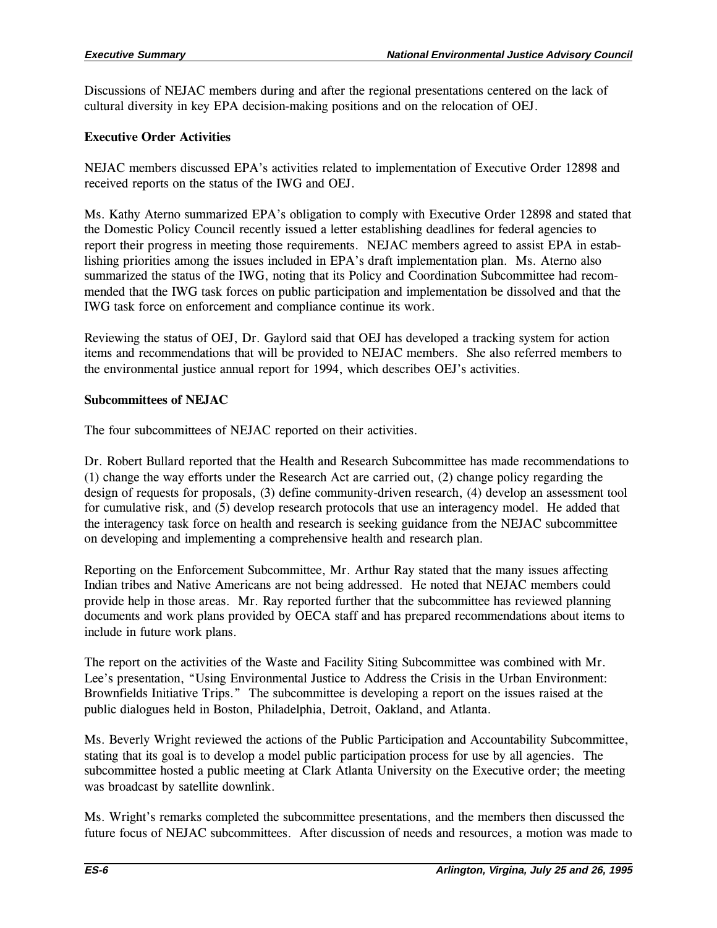Discussions of NEJAC members during and after the regional presentations centered on the lack of cultural diversity in key EPA decision-making positions and on the relocation of OEJ.

# Executive Order Activities

NEJAC members discussed EPA's activities related to implementation of Executive Order 12898 and received reports on the status of the IWG and OEJ.

Ms. Kathy Aterno summarized EPA's obligation to comply with Executive Order 12898 and stated that the Domestic Policy Council recently issued a letter establishing deadlines for federal agencies to report their progress in meeting those requirements. NEJAC members agreed to assist EPA in establishing priorities among the issues included in EPA's draft implementation plan. Ms. Aterno also summarized the status of the IWG, noting that its Policy and Coordination Subcommittee had recommended that the IWG task forces on public participation and implementation be dissolved and that the IWG task force on enforcement and compliance continue its work.

Reviewing the status of OEJ, Dr. Gaylord said that OEJ has developed a tracking system for action items and recommendations that will be provided to NEJAC members. She also referred members to the environmental justice annual report for 1994, which describes OEJ's activities.

# Subcommittees of NEJAC

The four subcommittees of NEJAC reported on their activities.

Dr. Robert Bullard reported that the Health and Research Subcommittee has made recommendations to (1) change the way efforts under the Research Act are carried out, (2) change policy regarding the design of requests for proposals, (3) define community-driven research, (4) develop an assessment tool for cumulative risk, and (5) develop research protocols that use an interagency model. He added that the interagency task force on health and research is seeking guidance from the NEJAC subcommittee on developing and implementing a comprehensive health and research plan.

Reporting on the Enforcement Subcommittee, Mr. Arthur Ray stated that the many issues affecting Indian tribes and Native Americans are not being addressed. He noted that NEJAC members could provide help in those areas. Mr. Ray reported further that the subcommittee has reviewed planning documents and work plans provided by OECA staff and has prepared recommendations about items to include in future work plans.

The report on the activities of the Waste and Facility Siting Subcommittee was combined with Mr. Lee's presentation, "Using Environmental Justice to Address the Crisis in the Urban Environment: Brownfields Initiative Trips." The subcommittee is developing a report on the issues raised at the public dialogues held in Boston, Philadelphia, Detroit, Oakland, and Atlanta.

Ms. Beverly Wright reviewed the actions of the Public Participation and Accountability Subcommittee, stating that its goal is to develop a model public participation process for use by all agencies. The subcommittee hosted a public meeting at Clark Atlanta University on the Executive order; the meeting was broadcast by satellite downlink.

Ms. Wright's remarks completed the subcommittee presentations, and the members then discussed the future focus of NEJAC subcommittees. After discussion of needs and resources, a motion was made to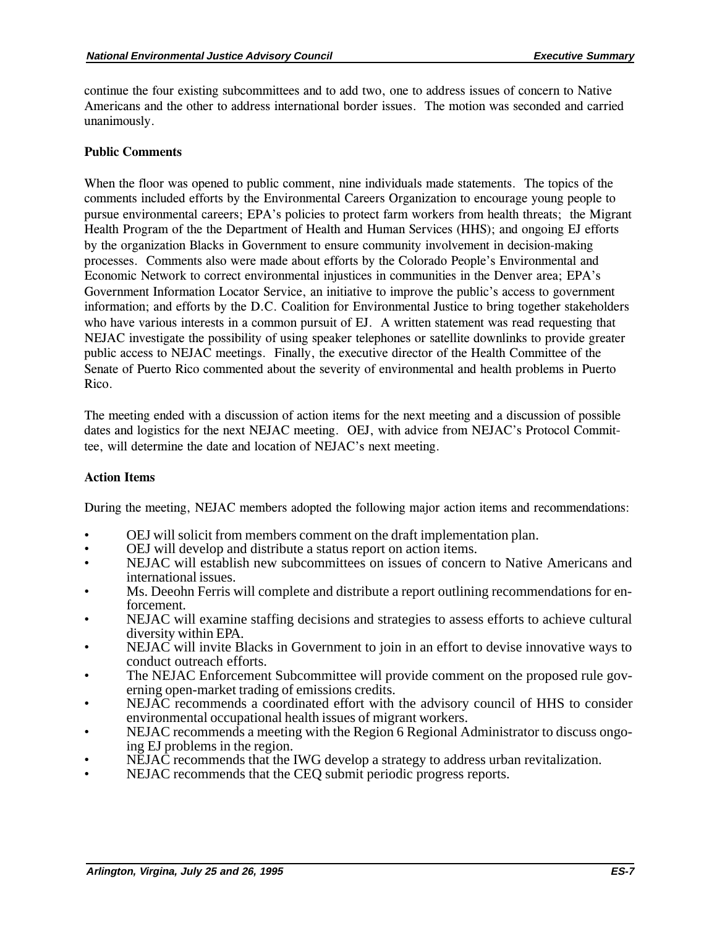continue the four existing subcommittees and to add two, one to address issues of concern to Native Americans and the other to address international border issues. The motion was seconded and carried unanimously.

#### Public Comments

When the floor was opened to public comment, nine individuals made statements. The topics of the comments included efforts by the Environmental Careers Organization to encourage young people to pursue environmental careers; EPA's policies to protect farm workers from health threats; the Migrant Health Program of the the Department of Health and Human Services (HHS); and ongoing EJ efforts by the organization Blacks in Government to ensure community involvement in decision-making processes. Comments also were made about efforts by the Colorado People's Environmental and Economic Network to correct environmental injustices in communities in the Denver area; EPA's Government Information Locator Service, an initiative to improve the public's access to government information; and efforts by the D.C. Coalition for Environmental Justice to bring together stakeholders who have various interests in a common pursuit of EJ. A written statement was read requesting that NEJAC investigate the possibility of using speaker telephones or satellite downlinks to provide greater public access to NEJAC meetings. Finally, the executive director of the Health Committee of the Senate of Puerto Rico commented about the severity of environmental and health problems in Puerto Rico.

The meeting ended with a discussion of action items for the next meeting and a discussion of possible dates and logistics for the next NEJAC meeting. OEJ, with advice from NEJAC's Protocol Committee, will determine the date and location of NEJAC's next meeting.

#### Action Items

During the meeting, NEJAC members adopted the following major action items and recommendations:

- OEJ will solicit from members comment on the draft implementation plan.
- OEJ will develop and distribute a status report on action items.
- NEJAC will establish new subcommittees on issues of concern to Native Americans and international issues.
- Ms. Deeohn Ferris will complete and distribute a report outlining recommendations for enforcement.
- NEJAC will examine staffing decisions and strategies to assess efforts to achieve cultural diversity within EPA.
- NEJAC will invite Blacks in Government to join in an effort to devise innovative ways to conduct outreach efforts.
- The NEJAC Enforcement Subcommittee will provide comment on the proposed rule governing open-market trading of emissions credits.
- NEJAC recommends a coordinated effort with the advisory council of HHS to consider environmental occupational health issues of migrant workers.
- NEJAC recommends a meeting with the Region 6 Regional Administrator to discuss ongoing EJ problems in the region.
- NEJAC recommends that the IWG develop a strategy to address urban revitalization.
- NEJAC recommends that the CEQ submit periodic progress reports.